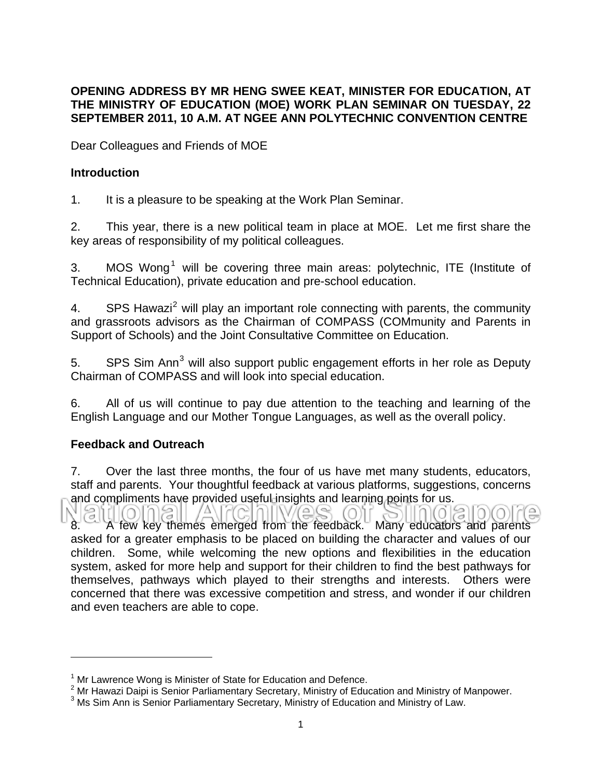## **OPENING ADDRESS BY MR HENG SWEE KEAT, MINISTER FOR EDUCATION, AT THE MINISTRY OF EDUCATION (MOE) WORK PLAN SEMINAR ON TUESDAY, 22 SEPTEMBER 2011, 10 A.M. AT NGEE ANN POLYTECHNIC CONVENTION CENTRE**

Dear Colleagues and Friends of MOE

## **Introduction**

1. It is a pleasure to be speaking at the Work Plan Seminar.

2. This year, there is a new political team in place at MOE. Let me first share the key areas of responsibility of my political colleagues.

3. MOS Wong<sup>[1](#page-0-0)</sup> will be covering three main areas: polytechnic, ITE (Institute of Technical Education), private education and pre-school education.

4. SPS Hawazi<sup>[2](#page-0-1)</sup> will play an important role connecting with parents, the community and grassroots advisors as the Chairman of COMPASS (COMmunity and Parents in Support of Schools) and the Joint Consultative Committee on Education.

5. SPS Sim Ann<sup>[3](#page-0-2)</sup> will also support public engagement efforts in her role as Deputy Chairman of COMPASS and will look into special education.

6. All of us will continue to pay due attention to the teaching and learning of the English Language and our Mother Tongue Languages, as well as the overall policy.

# **Feedback and Outreach**

7. Over the last three months, the four of us have met many students, educators, staff and parents. Your thoughtful feedback at various platforms, suggestions, concerns and compliments have provided useful insights and learning points for us.

3110)(01 8. A few key themes emerged from the feedback. Many educators and parents asked for a greater emphasis to be placed on building the character and values of our children. Some, while welcoming the new options and flexibilities in the education system, asked for more help and support for their children to find the best pathways for themselves, pathways which played to their strengths and interests. Others were concerned that there was excessive competition and stress, and wonder if our children and even teachers are able to cope.

<span id="page-0-0"></span> $1$  Mr Lawrence Wong is Minister of State for Education and Defence.

<span id="page-0-1"></span><sup>&</sup>lt;sup>2</sup> Mr Hawazi Daipi is Senior Parliamentary Secretary, Ministry of Education and Ministry of Manpower.

<span id="page-0-2"></span><sup>&</sup>lt;sup>3</sup> Ms Sim Ann is Senior Parliamentary Secretary, Ministry of Education and Ministry of Law.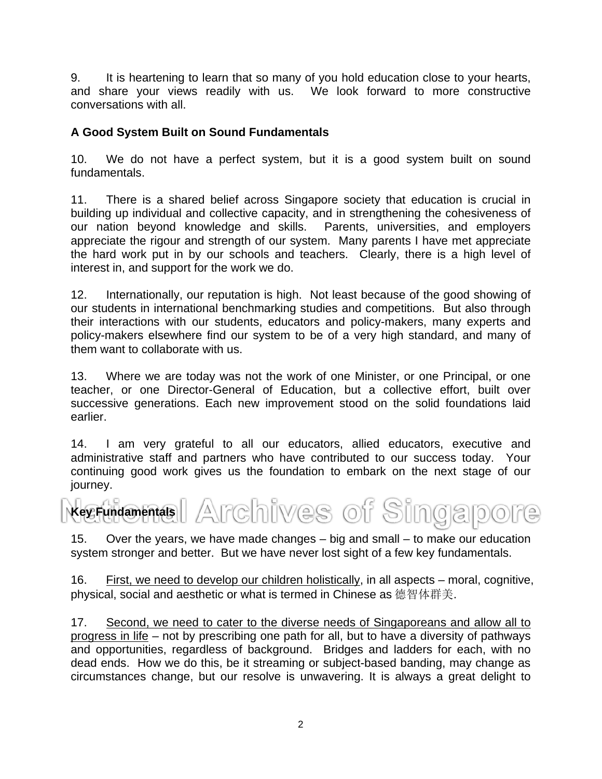9. It is heartening to learn that so many of you hold education close to your hearts, and share your views readily with us. We look forward to more constructive conversations with all.

# **A Good System Built on Sound Fundamentals**

10. We do not have a perfect system, but it is a good system built on sound fundamentals.

11. There is a shared belief across Singapore society that education is crucial in building up individual and collective capacity, and in strengthening the cohesiveness of our nation beyond knowledge and skills. Parents, universities, and employers appreciate the rigour and strength of our system. Many parents I have met appreciate the hard work put in by our schools and teachers. Clearly, there is a high level of interest in, and support for the work we do.

12. Internationally, our reputation is high. Not least because of the good showing of our students in international benchmarking studies and competitions. But also through their interactions with our students, educators and policy-makers, many experts and policy-makers elsewhere find our system to be of a very high standard, and many of them want to collaborate with us.

13. Where we are today was not the work of one Minister, or one Principal, or one teacher, or one Director-General of Education, but a collective effort, built over successive generations. Each new improvement stood on the solid foundations laid earlier.

14. I am very grateful to all our educators, allied educators, executive and administrative staff and partners who have contributed to our success today. Your continuing good work gives us the foundation to embark on the next stage of our journey.

Archives of Singa **Key Fundamentals** 

15. Over the years, we have made changes – big and small – to make our education system stronger and better. But we have never lost sight of a few key fundamentals.

16. First, we need to develop our children holistically, in all aspects – moral, cognitive, physical, social and aesthetic or what is termed in Chinese as 德智体群美.

17. Second, we need to cater to the diverse needs of Singaporeans and allow all to progress in life – not by prescribing one path for all, but to have a diversity of pathways and opportunities, regardless of background. Bridges and ladders for each, with no dead ends. How we do this, be it streaming or subject-based banding, may change as circumstances change, but our resolve is unwavering. It is always a great delight to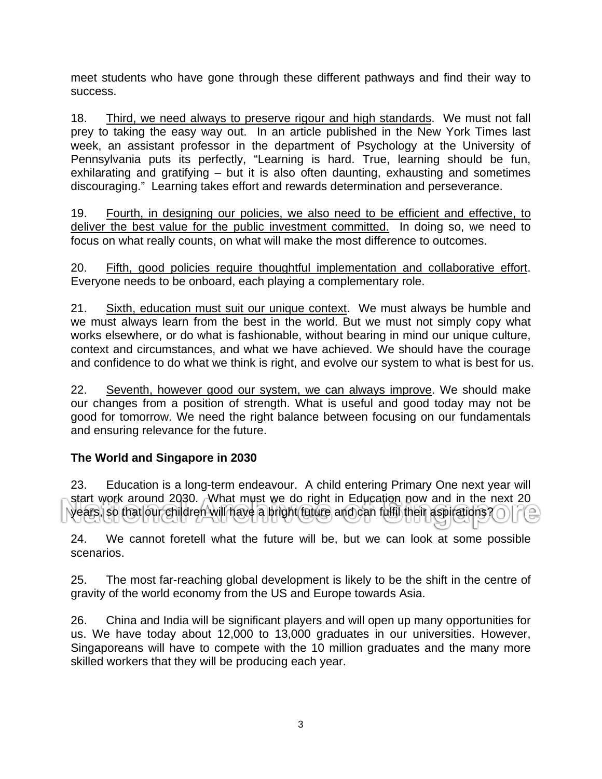meet students who have gone through these different pathways and find their way to success.

18. Third, we need always to preserve rigour and high standards. We must not fall prey to taking the easy way out. In an article published in the New York Times last week, an assistant professor in the department of Psychology at the University of Pennsylvania puts its perfectly, "Learning is hard. True, learning should be fun, exhilarating and gratifying – but it is also often daunting, exhausting and sometimes discouraging." Learning takes effort and rewards determination and perseverance.

19. Fourth, in designing our policies, we also need to be efficient and effective, to deliver the best value for the public investment committed. In doing so, we need to focus on what really counts, on what will make the most difference to outcomes.

20. Fifth, good policies require thoughtful implementation and collaborative effort. Everyone needs to be onboard, each playing a complementary role.

21. Sixth, education must suit our unique context. We must always be humble and we must always learn from the best in the world. But we must not simply copy what works elsewhere, or do what is fashionable, without bearing in mind our unique culture, context and circumstances, and what we have achieved. We should have the courage and confidence to do what we think is right, and evolve our system to what is best for us.

22. Seventh, however good our system, we can always improve. We should make our changes from a position of strength. What is useful and good today may not be good for tomorrow. We need the right balance between focusing on our fundamentals and ensuring relevance for the future.

# **The World and Singapore in 2030**

23. Education is a long-term endeavour. A child entering Primary One next year will start work around 2030. What must we do right in Education now and in the next 20 years, so that our children will have a bright future and can fulfil their aspirations?

24. We cannot foretell what the future will be, but we can look at some possible scenarios.

25. The most far-reaching global development is likely to be the shift in the centre of gravity of the world economy from the US and Europe towards Asia.

26. China and India will be significant players and will open up many opportunities for us. We have today about 12,000 to 13,000 graduates in our universities. However, Singaporeans will have to compete with the 10 million graduates and the many more skilled workers that they will be producing each year.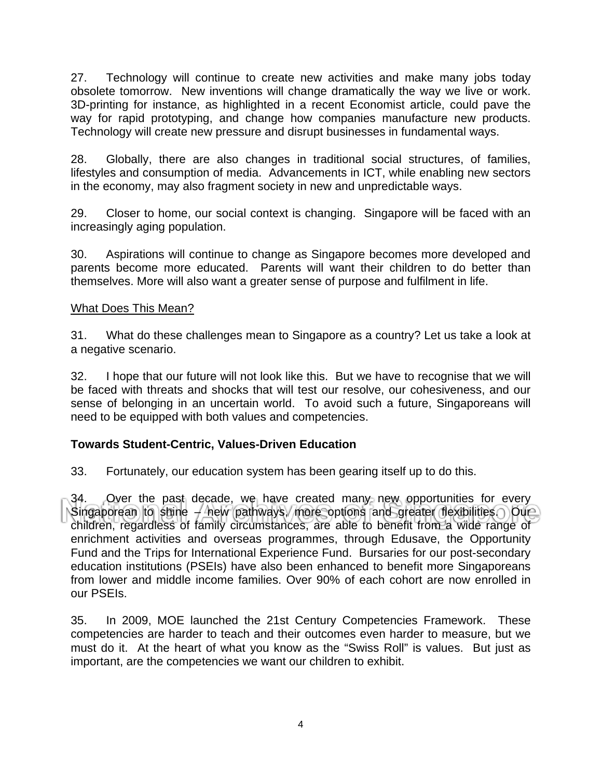27. Technology will continue to create new activities and make many jobs today obsolete tomorrow. New inventions will change dramatically the way we live or work. 3D-printing for instance, as highlighted in a recent Economist article, could pave the way for rapid prototyping, and change how companies manufacture new products. Technology will create new pressure and disrupt businesses in fundamental ways.

28. Globally, there are also changes in traditional social structures, of families, lifestyles and consumption of media. Advancements in ICT, while enabling new sectors in the economy, may also fragment society in new and unpredictable ways.

29. Closer to home, our social context is changing. Singapore will be faced with an increasingly aging population.

30. Aspirations will continue to change as Singapore becomes more developed and parents become more educated. Parents will want their children to do better than themselves. More will also want a greater sense of purpose and fulfilment in life.

## What Does This Mean?

31. What do these challenges mean to Singapore as a country? Let us take a look at a negative scenario.

32. I hope that our future will not look like this. But we have to recognise that we will be faced with threats and shocks that will test our resolve, our cohesiveness, and our sense of belonging in an uncertain world. To avoid such a future, Singaporeans will need to be equipped with both values and competencies.

# **Towards Student-Centric, Values-Driven Education**

33. Fortunately, our education system has been gearing itself up to do this.

34. Over the past decade, we have created many new opportunities for every Singaporean to shine  $-$  new pathways, more options and greater flexibilities. Our children, regardless of family circumstances, are able to benefit from a wide range of enrichment activities and overseas programmes, through Edusave, the Opportunity Fund and the Trips for International Experience Fund. Bursaries for our post-secondary education institutions (PSEIs) have also been enhanced to benefit more Singaporeans from lower and middle income families. Over 90% of each cohort are now enrolled in our PSEIs.

35. In 2009, MOE launched the 21st Century Competencies Framework. These competencies are harder to teach and their outcomes even harder to measure, but we must do it. At the heart of what you know as the "Swiss Roll" is values. But just as important, are the competencies we want our children to exhibit.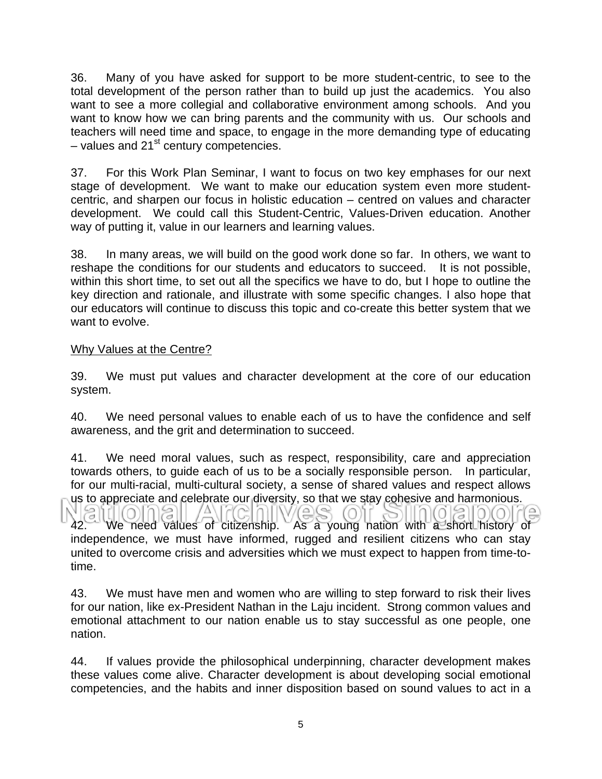36. Many of you have asked for support to be more student-centric, to see to the total development of the person rather than to build up just the academics. You also want to see a more collegial and collaborative environment among schools. And you want to know how we can bring parents and the community with us. Our schools and teachers will need time and space, to engage in the more demanding type of educating – values and  $21<sup>st</sup>$  century competencies.

37. For this Work Plan Seminar, I want to focus on two key emphases for our next stage of development. We want to make our education system even more studentcentric, and sharpen our focus in holistic education – centred on values and character development. We could call this Student-Centric, Values-Driven education. Another way of putting it, value in our learners and learning values.

38. In many areas, we will build on the good work done so far. In others, we want to reshape the conditions for our students and educators to succeed. It is not possible, within this short time, to set out all the specifics we have to do, but I hope to outline the key direction and rationale, and illustrate with some specific changes. I also hope that our educators will continue to discuss this topic and co-create this better system that we want to evolve.

#### Why Values at the Centre?

39. We must put values and character development at the core of our education system.

40. We need personal values to enable each of us to have the confidence and self awareness, and the grit and determination to succeed.

41. We need moral values, such as respect, responsibility, care and appreciation towards others, to guide each of us to be a socially responsible person. In particular, for our multi-racial, multi-cultural society, a sense of shared values and respect allows us to appreciate and celebrate our diversity, so that we stay cohesive and harmonious.

42. We need values of citizenship. As a young nation with a short history of independence, we must have informed, rugged and resilient citizens who can stay united to overcome crisis and adversities which we must expect to happen from time-totime.

43. We must have men and women who are willing to step forward to risk their lives for our nation, like ex-President Nathan in the Laju incident. Strong common values and emotional attachment to our nation enable us to stay successful as one people, one nation.

44. If values provide the philosophical underpinning, character development makes these values come alive. Character development is about developing social emotional competencies, and the habits and inner disposition based on sound values to act in a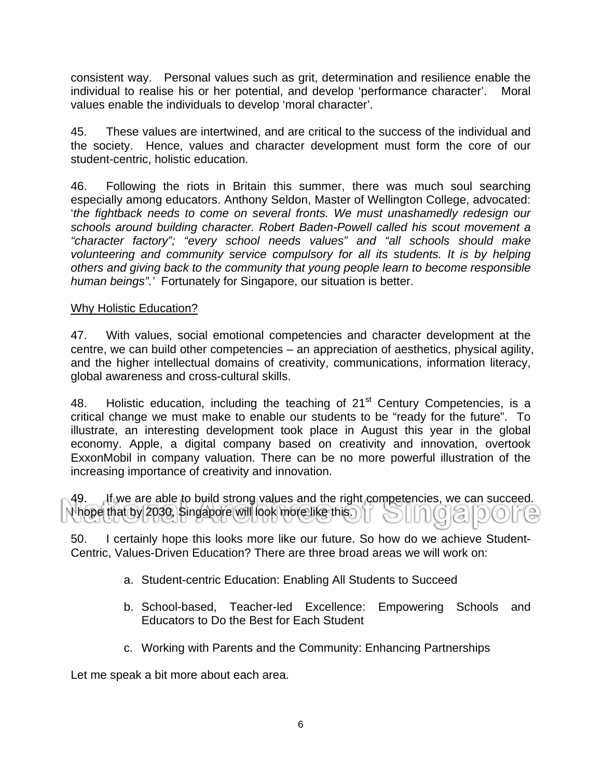consistent way. Personal values such as grit, determination and resilience enable the individual to realise his or her potential, and develop 'performance character'. Moral values enable the individuals to develop 'moral character'.

45. These values are intertwined, and are critical to the success of the individual and the society. Hence, values and character development must form the core of our student-centric, holistic education.

46. Following the riots in Britain this summer, there was much soul searching especially among educators. Anthony Seldon, Master of Wellington College, advocated: '*the fightback needs to come on several fronts. We must unashamedly redesign our schools around building character. Robert Baden-Powell called his scout movement a "character factory"; "every school needs values" and "all schools should make volunteering and community service compulsory for all its students. It is by helping others and giving back to the community that young people learn to become responsible human beings".'* Fortunately for Singapore, our situation is better.

## Why Holistic Education?

47. With values, social emotional competencies and character development at the centre, we can build other competencies – an appreciation of aesthetics, physical agility, and the higher intellectual domains of creativity, communications, information literacy, global awareness and cross-cultural skills.

48. Holistic education, including the teaching of  $21<sup>st</sup>$  Century Competencies, is a critical change we must make to enable our students to be "ready for the future". To illustrate, an interesting development took place in August this year in the global economy. Apple, a digital company based on creativity and innovation, overtook ExxonMobil in company valuation. There can be no more powerful illustration of the increasing importance of creativity and innovation.

49. If we are able to build strong values and the right competencies, we can succeed. I hope that by 2030, Singapore will look more like this.

50. I certainly hope this looks more like our future. So how do we achieve Student-Centric, Values-Driven Education? There are three broad areas we will work on:

- a. Student-centric Education: Enabling All Students to Succeed
- b. School-based, Teacher-led Excellence: Empowering Schools and Educators to Do the Best for Each Student
- c. Working with Parents and the Community: Enhancing Partnerships

Let me speak a bit more about each area.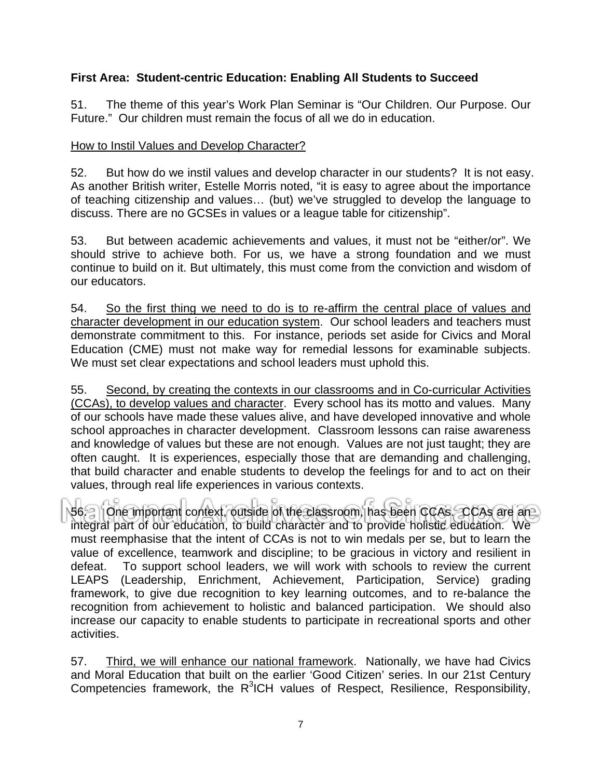# **First Area: Student-centric Education: Enabling All Students to Succeed**

51. The theme of this year's Work Plan Seminar is "Our Children. Our Purpose. Our Future." Our children must remain the focus of all we do in education.

#### How to Instil Values and Develop Character?

52. But how do we instil values and develop character in our students? It is not easy. As another British writer, Estelle Morris noted, "it is easy to agree about the importance of teaching citizenship and values… (but) we've struggled to develop the language to discuss. There are no GCSEs in values or a league table for citizenship".

53. But between academic achievements and values, it must not be "either/or". We should strive to achieve both. For us, we have a strong foundation and we must continue to build on it. But ultimately, this must come from the conviction and wisdom of our educators.

54. So the first thing we need to do is to re-affirm the central place of values and character development in our education system. Our school leaders and teachers must demonstrate commitment to this. For instance, periods set aside for Civics and Moral Education (CME) must not make way for remedial lessons for examinable subjects. We must set clear expectations and school leaders must uphold this.

55. Second, by creating the contexts in our classrooms and in Co-curricular Activities (CCAs), to develop values and character. Every school has its motto and values. Many of our schools have made these values alive, and have developed innovative and whole school approaches in character development. Classroom lessons can raise awareness and knowledge of values but these are not enough. Values are not just taught; they are often caught. It is experiences, especially those that are demanding and challenging, that build character and enable students to develop the feelings for and to act on their values, through real life experiences in various contexts.

56. One important context, outside of the classroom, has been CCAs. CCAs are an integral part of our education, to build character and to provide holistic education. We must reemphasise that the intent of CCAs is not to win medals per se, but to learn the value of excellence, teamwork and discipline; to be gracious in victory and resilient in defeat. To support school leaders, we will work with schools to review the current LEAPS (Leadership, Enrichment, Achievement, Participation, Service) grading framework, to give due recognition to key learning outcomes, and to re-balance the recognition from achievement to holistic and balanced participation. We should also increase our capacity to enable students to participate in recreational sports and other activities.

57. Third, we will enhance our national framework. Nationally, we have had Civics and Moral Education that built on the earlier 'Good Citizen' series. In our 21st Century Competencies framework, the R<sup>3</sup>ICH values of Respect, Resilience, Responsibility,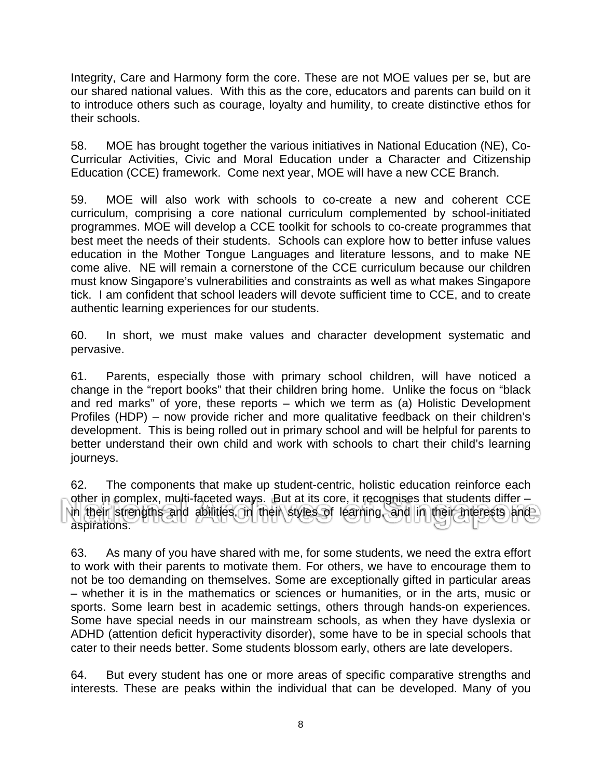Integrity, Care and Harmony form the core. These are not MOE values per se, but are our shared national values. With this as the core, educators and parents can build on it to introduce others such as courage, loyalty and humility, to create distinctive ethos for their schools.

58. MOE has brought together the various initiatives in National Education (NE), Co-Curricular Activities, Civic and Moral Education under a Character and Citizenship Education (CCE) framework. Come next year, MOE will have a new CCE Branch.

59. MOE will also work with schools to co-create a new and coherent CCE curriculum, comprising a core national curriculum complemented by school-initiated programmes. MOE will develop a CCE toolkit for schools to co-create programmes that best meet the needs of their students. Schools can explore how to better infuse values education in the Mother Tongue Languages and literature lessons, and to make NE come alive. NE will remain a cornerstone of the CCE curriculum because our children must know Singapore's vulnerabilities and constraints as well as what makes Singapore tick. I am confident that school leaders will devote sufficient time to CCE, and to create authentic learning experiences for our students.

60. In short, we must make values and character development systematic and pervasive.

61. Parents, especially those with primary school children, will have noticed a change in the "report books" that their children bring home. Unlike the focus on "black and red marks" of yore, these reports – which we term as (a) Holistic Development Profiles (HDP) – now provide richer and more qualitative feedback on their children's development. This is being rolled out in primary school and will be helpful for parents to better understand their own child and work with schools to chart their child's learning journeys.

62. The components that make up student-centric, holistic education reinforce each other in complex, multi-faceted ways. But at its core, it recognises that students differ – in their strengths and abilities, in their styles of learning, and in their interests and aspirations.

63. As many of you have shared with me, for some students, we need the extra effort to work with their parents to motivate them. For others, we have to encourage them to not be too demanding on themselves. Some are exceptionally gifted in particular areas – whether it is in the mathematics or sciences or humanities, or in the arts, music or sports. Some learn best in academic settings, others through hands-on experiences. Some have special needs in our mainstream schools, as when they have dyslexia or ADHD (attention deficit hyperactivity disorder), some have to be in special schools that cater to their needs better. Some students blossom early, others are late developers.

64. But every student has one or more areas of specific comparative strengths and interests. These are peaks within the individual that can be developed. Many of you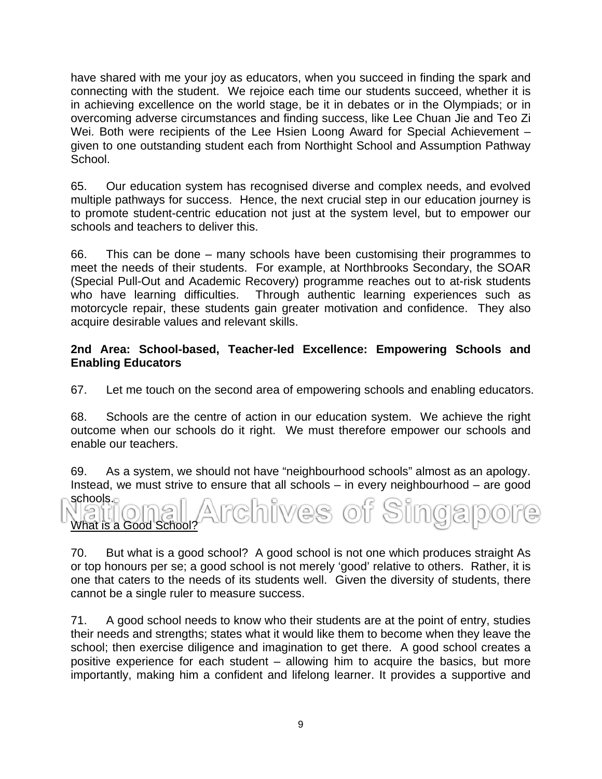have shared with me your joy as educators, when you succeed in finding the spark and connecting with the student. We rejoice each time our students succeed, whether it is in achieving excellence on the world stage, be it in debates or in the Olympiads; or in overcoming adverse circumstances and finding success, like Lee Chuan Jie and Teo Zi Wei. Both were recipients of the Lee Hsien Loong Award for Special Achievement – given to one outstanding student each from Northight School and Assumption Pathway School.

65. Our education system has recognised diverse and complex needs, and evolved multiple pathways for success. Hence, the next crucial step in our education journey is to promote student-centric education not just at the system level, but to empower our schools and teachers to deliver this.

66. This can be done – many schools have been customising their programmes to meet the needs of their students. For example, at Northbrooks Secondary, the SOAR (Special Pull-Out and Academic Recovery) programme reaches out to at-risk students who have learning difficulties. Through authentic learning experiences such as motorcycle repair, these students gain greater motivation and confidence. They also acquire desirable values and relevant skills.

## **2nd Area: School-based, Teacher-led Excellence: Empowering Schools and Enabling Educators**

67. Let me touch on the second area of empowering schools and enabling educators.

68. Schools are the centre of action in our education system. We achieve the right outcome when our schools do it right. We must therefore empower our schools and enable our teachers.

69. As a system, we should not have "neighbourhood schools" almost as an apology. Instead, we must strive to ensure that all schools – in every neighbourhood – are good schools.

ives of Singa What is a Good School?

70. But what is a good school? A good school is not one which produces straight As or top honours per se; a good school is not merely 'good' relative to others. Rather, it is one that caters to the needs of its students well. Given the diversity of students, there cannot be a single ruler to measure success.

71. A good school needs to know who their students are at the point of entry, studies their needs and strengths; states what it would like them to become when they leave the school; then exercise diligence and imagination to get there. A good school creates a positive experience for each student – allowing him to acquire the basics, but more importantly, making him a confident and lifelong learner. It provides a supportive and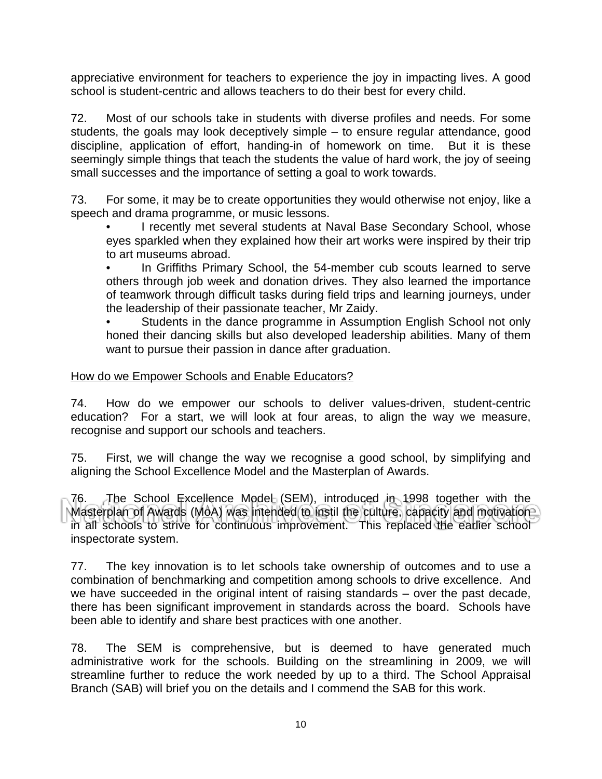appreciative environment for teachers to experience the joy in impacting lives. A good school is student-centric and allows teachers to do their best for every child.

72. Most of our schools take in students with diverse profiles and needs. For some students, the goals may look deceptively simple – to ensure regular attendance, good discipline, application of effort, handing-in of homework on time. But it is these seemingly simple things that teach the students the value of hard work, the joy of seeing small successes and the importance of setting a goal to work towards.

73. For some, it may be to create opportunities they would otherwise not enjoy, like a speech and drama programme, or music lessons.

• I recently met several students at Naval Base Secondary School, whose eyes sparkled when they explained how their art works were inspired by their trip to art museums abroad.

In Griffiths Primary School, the 54-member cub scouts learned to serve others through job week and donation drives. They also learned the importance of teamwork through difficult tasks during field trips and learning journeys, under the leadership of their passionate teacher, Mr Zaidy.

Students in the dance programme in Assumption English School not only honed their dancing skills but also developed leadership abilities. Many of them want to pursue their passion in dance after graduation.

## How do we Empower Schools and Enable Educators?

74. How do we empower our schools to deliver values-driven, student-centric education? For a start, we will look at four areas, to align the way we measure, recognise and support our schools and teachers.

75. First, we will change the way we recognise a good school, by simplifying and aligning the School Excellence Model and the Masterplan of Awards.

76. The School Excellence Model (SEM), introduced in 1998 together with the Masterplan of Awards (MoA) was intended to instil the culture, capacity and motivation in all schools to strive for continuous improvement. This replaced the earlier school inspectorate system.

77. The key innovation is to let schools take ownership of outcomes and to use a combination of benchmarking and competition among schools to drive excellence. And we have succeeded in the original intent of raising standards – over the past decade, there has been significant improvement in standards across the board. Schools have been able to identify and share best practices with one another.

78. The SEM is comprehensive, but is deemed to have generated much administrative work for the schools. Building on the streamlining in 2009, we will streamline further to reduce the work needed by up to a third. The School Appraisal Branch (SAB) will brief you on the details and I commend the SAB for this work.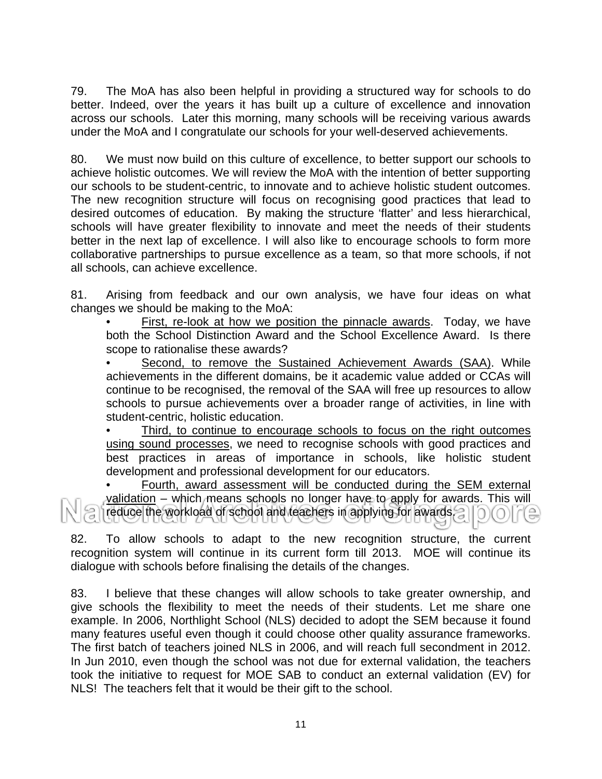79. The MoA has also been helpful in providing a structured way for schools to do better. Indeed, over the years it has built up a culture of excellence and innovation across our schools. Later this morning, many schools will be receiving various awards under the MoA and I congratulate our schools for your well-deserved achievements.

80. We must now build on this culture of excellence, to better support our schools to achieve holistic outcomes. We will review the MoA with the intention of better supporting our schools to be student-centric, to innovate and to achieve holistic student outcomes. The new recognition structure will focus on recognising good practices that lead to desired outcomes of education. By making the structure 'flatter' and less hierarchical, schools will have greater flexibility to innovate and meet the needs of their students better in the next lap of excellence. I will also like to encourage schools to form more collaborative partnerships to pursue excellence as a team, so that more schools, if not all schools, can achieve excellence.

81. Arising from feedback and our own analysis, we have four ideas on what changes we should be making to the MoA:

• First, re-look at how we position the pinnacle awards. Today, we have both the School Distinction Award and the School Excellence Award. Is there scope to rationalise these awards?

Second, to remove the Sustained Achievement Awards (SAA). While achievements in the different domains, be it academic value added or CCAs will continue to be recognised, the removal of the SAA will free up resources to allow schools to pursue achievements over a broader range of activities, in line with student-centric, holistic education.

Third, to continue to encourage schools to focus on the right outcomes using sound processes, we need to recognise schools with good practices and best practices in areas of importance in schools, like holistic student development and professional development for our educators.

• Fourth, award assessment will be conducted during the SEM external validation – which means schools no longer have to apply for awards. This will reduce the workload of school and teachers in applying for awards.

82. To allow schools to adapt to the new recognition structure, the current recognition system will continue in its current form till 2013. MOE will continue its dialogue with schools before finalising the details of the changes.

83. I believe that these changes will allow schools to take greater ownership, and give schools the flexibility to meet the needs of their students. Let me share one example. In 2006, Northlight School (NLS) decided to adopt the SEM because it found many features useful even though it could choose other quality assurance frameworks. The first batch of teachers joined NLS in 2006, and will reach full secondment in 2012. In Jun 2010, even though the school was not due for external validation, the teachers took the initiative to request for MOE SAB to conduct an external validation (EV) for NLS! The teachers felt that it would be their gift to the school.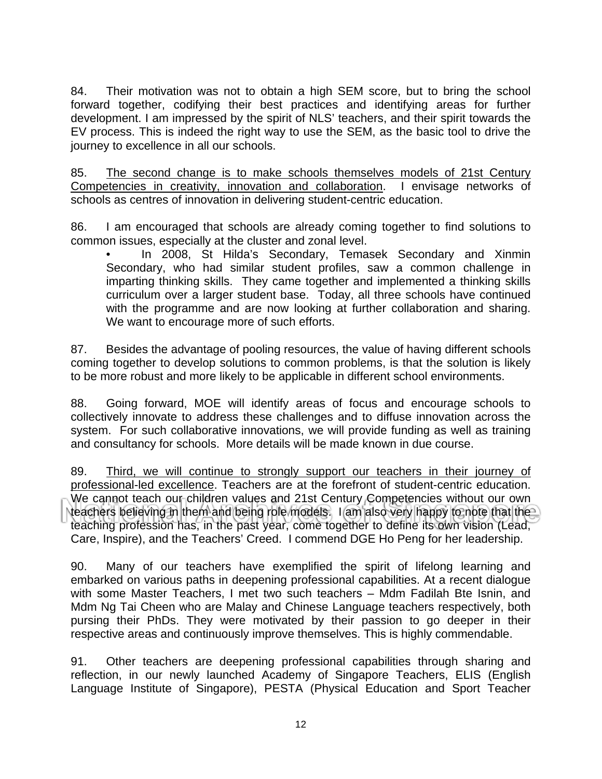84. Their motivation was not to obtain a high SEM score, but to bring the school forward together, codifying their best practices and identifying areas for further development. I am impressed by the spirit of NLS' teachers, and their spirit towards the EV process. This is indeed the right way to use the SEM, as the basic tool to drive the journey to excellence in all our schools.

85. The second change is to make schools themselves models of 21st Century Competencies in creativity, innovation and collaboration. I envisage networks of schools as centres of innovation in delivering student-centric education.

86. I am encouraged that schools are already coming together to find solutions to common issues, especially at the cluster and zonal level.

In 2008, St Hilda's Secondary, Temasek Secondary and Xinmin Secondary, who had similar student profiles, saw a common challenge in imparting thinking skills. They came together and implemented a thinking skills curriculum over a larger student base. Today, all three schools have continued with the programme and are now looking at further collaboration and sharing. We want to encourage more of such efforts.

87. Besides the advantage of pooling resources, the value of having different schools coming together to develop solutions to common problems, is that the solution is likely to be more robust and more likely to be applicable in different school environments.

88. Going forward, MOE will identify areas of focus and encourage schools to collectively innovate to address these challenges and to diffuse innovation across the system. For such collaborative innovations, we will provide funding as well as training and consultancy for schools. More details will be made known in due course.

89. Third, we will continue to strongly support our teachers in their journey of professional-led excellence. Teachers are at the forefront of student-centric education. We cannot teach our children values and 21st Century Competencies without our own teachers believing in them and being role models. I am also very happy to note that the teaching profession has, in the past year, come together to define its own vision (Lead, Care, Inspire), and the Teachers' Creed. I commend DGE Ho Peng for her leadership.

90. Many of our teachers have exemplified the spirit of lifelong learning and embarked on various paths in deepening professional capabilities. At a recent dialogue with some Master Teachers, I met two such teachers – Mdm Fadilah Bte Isnin, and Mdm Ng Tai Cheen who are Malay and Chinese Language teachers respectively, both pursing their PhDs. They were motivated by their passion to go deeper in their respective areas and continuously improve themselves. This is highly commendable.

91. Other teachers are deepening professional capabilities through sharing and reflection, in our newly launched Academy of Singapore Teachers, ELIS (English Language Institute of Singapore), PESTA (Physical Education and Sport Teacher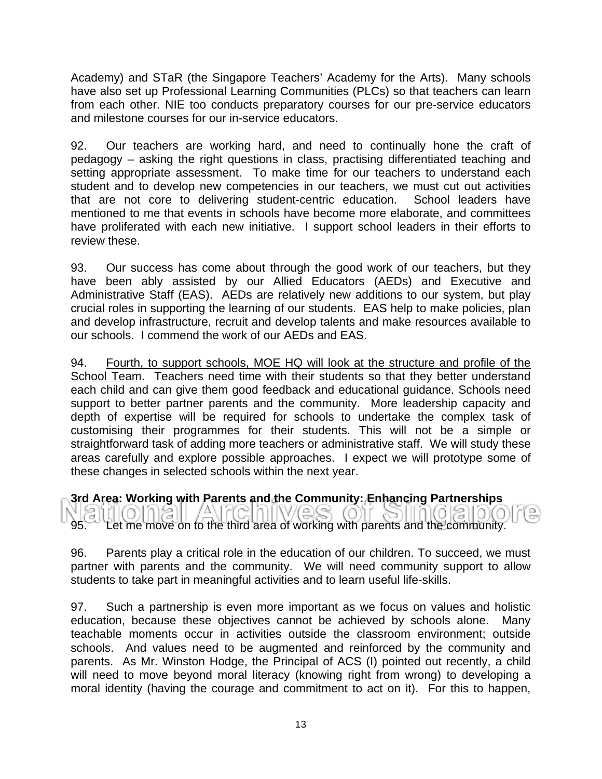Academy) and STaR (the Singapore Teachers' Academy for the Arts). Many schools have also set up Professional Learning Communities (PLCs) so that teachers can learn from each other. NIE too conducts preparatory courses for our pre-service educators and milestone courses for our in-service educators.

92. Our teachers are working hard, and need to continually hone the craft of pedagogy – asking the right questions in class, practising differentiated teaching and setting appropriate assessment. To make time for our teachers to understand each student and to develop new competencies in our teachers, we must cut out activities that are not core to delivering student-centric education. School leaders have mentioned to me that events in schools have become more elaborate, and committees have proliferated with each new initiative. I support school leaders in their efforts to review these.

93. Our success has come about through the good work of our teachers, but they have been ably assisted by our Allied Educators (AEDs) and Executive and Administrative Staff (EAS). AEDs are relatively new additions to our system, but play crucial roles in supporting the learning of our students. EAS help to make policies, plan and develop infrastructure, recruit and develop talents and make resources available to our schools. I commend the work of our AEDs and EAS.

94. Fourth, to support schools, MOE HQ will look at the structure and profile of the School Team. Teachers need time with their students so that they better understand each child and can give them good feedback and educational guidance. Schools need support to better partner parents and the community. More leadership capacity and depth of expertise will be required for schools to undertake the complex task of customising their programmes for their students. This will not be a simple or straightforward task of adding more teachers or administrative staff. We will study these areas carefully and explore possible approaches. I expect we will prototype some of these changes in selected schools within the next year.

**3rd Area: Working with Parents and the Community: Enhancing Partnerships** 

 $\triangle$ / A \  $(O)$ 12)  $O(O)$ 95. Let me move on to the third area of working with parents and the community.

96. Parents play a critical role in the education of our children. To succeed, we must partner with parents and the community. We will need community support to allow students to take part in meaningful activities and to learn useful life-skills.

97. Such a partnership is even more important as we focus on values and holistic education, because these objectives cannot be achieved by schools alone. Many teachable moments occur in activities outside the classroom environment; outside schools. And values need to be augmented and reinforced by the community and parents. As Mr. Winston Hodge, the Principal of ACS (I) pointed out recently, a child will need to move beyond moral literacy (knowing right from wrong) to developing a moral identity (having the courage and commitment to act on it). For this to happen,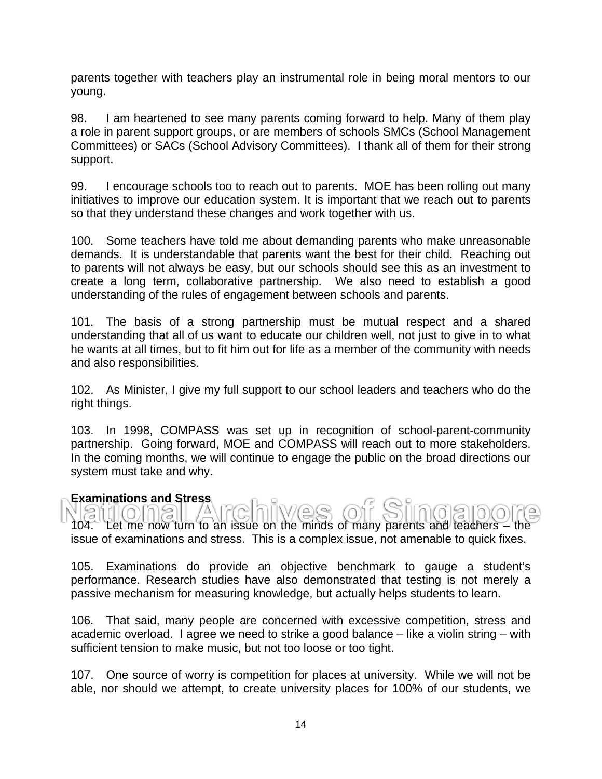parents together with teachers play an instrumental role in being moral mentors to our young.

98. I am heartened to see many parents coming forward to help. Many of them play a role in parent support groups, or are members of schools SMCs (School Management Committees) or SACs (School Advisory Committees). I thank all of them for their strong support.

99. I encourage schools too to reach out to parents. MOE has been rolling out many initiatives to improve our education system. It is important that we reach out to parents so that they understand these changes and work together with us.

100. Some teachers have told me about demanding parents who make unreasonable demands. It is understandable that parents want the best for their child. Reaching out to parents will not always be easy, but our schools should see this as an investment to create a long term, collaborative partnership. We also need to establish a good understanding of the rules of engagement between schools and parents.

101. The basis of a strong partnership must be mutual respect and a shared understanding that all of us want to educate our children well, not just to give in to what he wants at all times, but to fit him out for life as a member of the community with needs and also responsibilities.

102. As Minister, I give my full support to our school leaders and teachers who do the right things.

103. In 1998, COMPASS was set up in recognition of school-parent-community partnership. Going forward, MOE and COMPASS will reach out to more stakeholders. In the coming months, we will continue to engage the public on the broad directions our system must take and why.

#### **Examinations and Stress**

WAS 104. Let me now turn to an issue on the minds of many parents and teachers – the issue of examinations and stress. This is a complex issue, not amenable to quick fixes.

105. Examinations do provide an objective benchmark to gauge a student's performance. Research studies have also demonstrated that testing is not merely a passive mechanism for measuring knowledge, but actually helps students to learn.

106. That said, many people are concerned with excessive competition, stress and academic overload. I agree we need to strike a good balance – like a violin string – with sufficient tension to make music, but not too loose or too tight.

107. One source of worry is competition for places at university. While we will not be able, nor should we attempt, to create university places for 100% of our students, we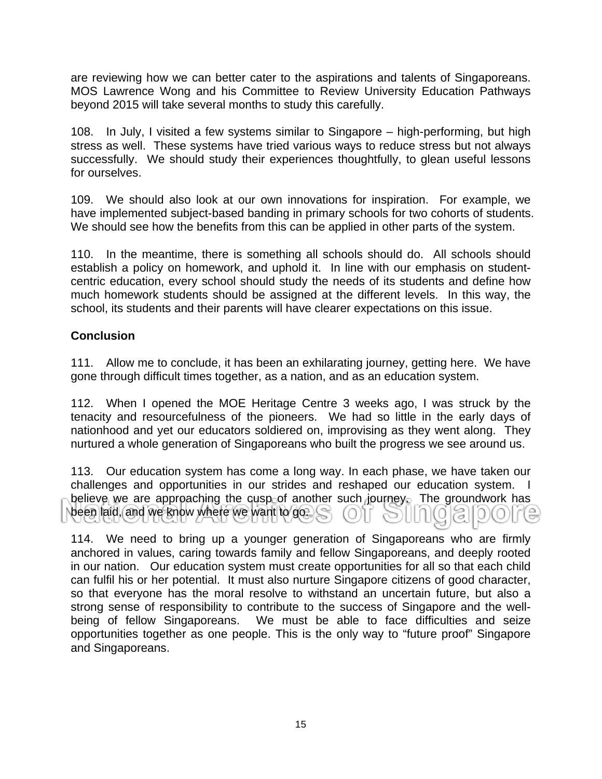are reviewing how we can better cater to the aspirations and talents of Singaporeans. MOS Lawrence Wong and his Committee to Review University Education Pathways beyond 2015 will take several months to study this carefully.

108. In July, I visited a few systems similar to Singapore – high-performing, but high stress as well. These systems have tried various ways to reduce stress but not always successfully. We should study their experiences thoughtfully, to glean useful lessons for ourselves.

109. We should also look at our own innovations for inspiration. For example, we have implemented subject-based banding in primary schools for two cohorts of students. We should see how the benefits from this can be applied in other parts of the system.

110. In the meantime, there is something all schools should do. All schools should establish a policy on homework, and uphold it. In line with our emphasis on studentcentric education, every school should study the needs of its students and define how much homework students should be assigned at the different levels. In this way, the school, its students and their parents will have clearer expectations on this issue.

# **Conclusion**

111. Allow me to conclude, it has been an exhilarating journey, getting here. We have gone through difficult times together, as a nation, and as an education system.

112. When I opened the MOE Heritage Centre 3 weeks ago, I was struck by the tenacity and resourcefulness of the pioneers. We had so little in the early days of nationhood and yet our educators soldiered on, improvising as they went along. They nurtured a whole generation of Singaporeans who built the progress we see around us.

113. Our education system has come a long way. In each phase, we have taken our challenges and opportunities in our strides and reshaped our education system. I believe we are approaching the cusp of another such journey. The groundwork has been laid, and we know where we want to go.

114. We need to bring up a younger generation of Singaporeans who are firmly anchored in values, caring towards family and fellow Singaporeans, and deeply rooted in our nation. Our education system must create opportunities for all so that each child can fulfil his or her potential. It must also nurture Singapore citizens of good character, so that everyone has the moral resolve to withstand an uncertain future, but also a strong sense of responsibility to contribute to the success of Singapore and the wellbeing of fellow Singaporeans. We must be able to face difficulties and seize opportunities together as one people. This is the only way to "future proof" Singapore and Singaporeans.